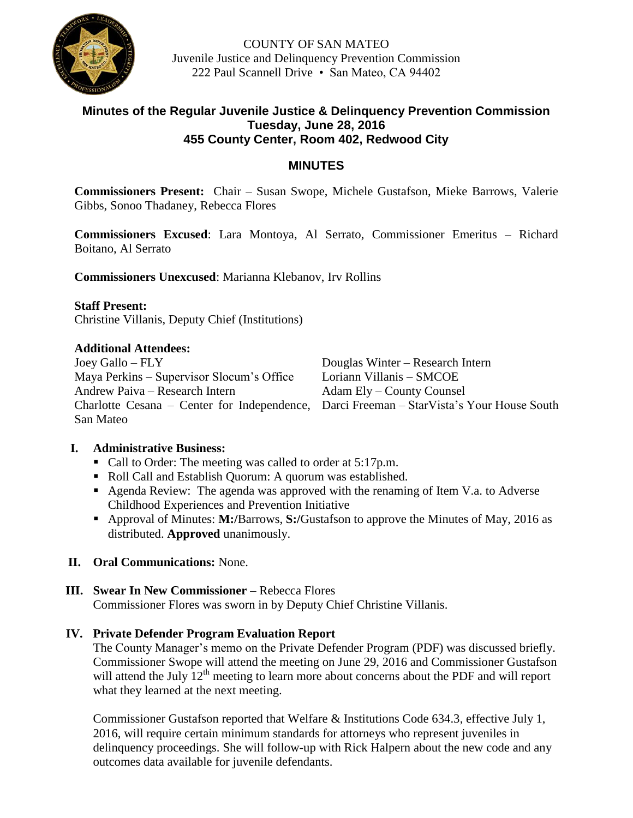

COUNTY OF SAN MATEO Juvenile Justice and Delinquency Prevention Commission 222 Paul Scannell Drive • San Mateo, CA 94402

## **Minutes of the Regular Juvenile Justice & Delinquency Prevention Commission Tuesday, June 28, 2016 455 County Center, Room 402, Redwood City**

## **MINUTES**

**Commissioners Present:** Chair – Susan Swope, Michele Gustafson, Mieke Barrows, Valerie Gibbs, Sonoo Thadaney, Rebecca Flores

**Commissioners Excused**: Lara Montoya, Al Serrato, Commissioner Emeritus – Richard Boitano, Al Serrato

**Commissioners Unexcused**: Marianna Klebanov, Irv Rollins

#### **Staff Present:**

Christine Villanis, Deputy Chief (Institutions)

#### **Additional Attendees:**

Joey Gallo – FLY Douglas Winter – Research Intern Maya Perkins – Supervisor Slocum's Office Loriann Villanis – SMCOE Andrew Paiva – Research Intern Adam Ely – County Counsel San Mateo

Charlotte Cesana – Center for Independence, Darci Freeman – StarVista's Your House South

## **I. Administrative Business:**

- Call to Order: The meeting was called to order at 5:17p.m.
- Roll Call and Establish Quorum: A quorum was established.
- Agenda Review: The agenda was approved with the renaming of Item V.a. to Adverse Childhood Experiences and Prevention Initiative
- Approval of Minutes: **M:/**Barrows, **S:/**Gustafson to approve the Minutes of May, 2016 as distributed. **Approved** unanimously.

## **II. Oral Communications:** None.

## **III. Swear In New Commissioner –** Rebecca Flores Commissioner Flores was sworn in by Deputy Chief Christine Villanis.

## **IV. Private Defender Program Evaluation Report**

The County Manager's memo on the Private Defender Program (PDF) was discussed briefly. Commissioner Swope will attend the meeting on June 29, 2016 and Commissioner Gustafson will attend the July 12<sup>th</sup> meeting to learn more about concerns about the PDF and will report what they learned at the next meeting.

Commissioner Gustafson reported that Welfare & Institutions Code 634.3, effective July 1, 2016, will require certain minimum standards for attorneys who represent juveniles in delinquency proceedings. She will follow-up with Rick Halpern about the new code and any outcomes data available for juvenile defendants.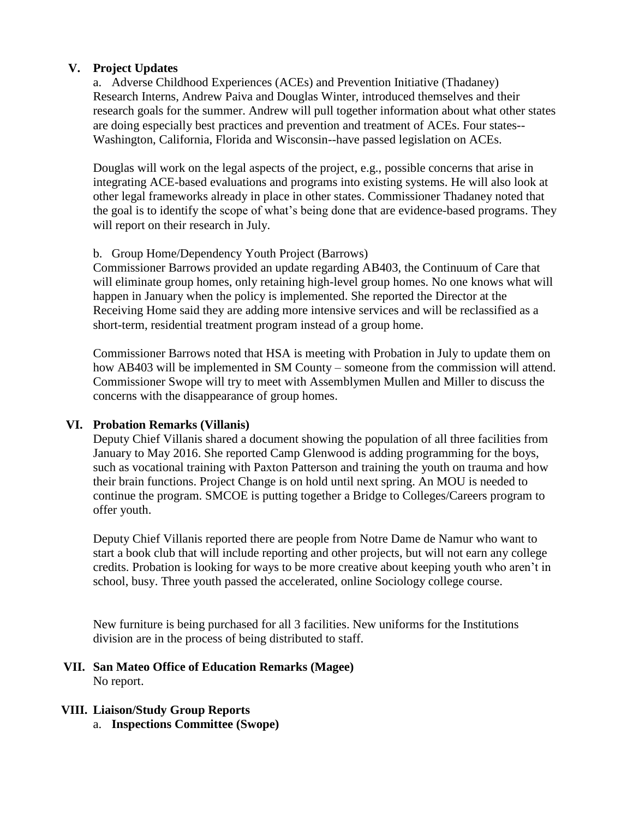## **V. Project Updates**

a. Adverse Childhood Experiences (ACEs) and Prevention Initiative (Thadaney) Research Interns, Andrew Paiva and Douglas Winter, introduced themselves and their research goals for the summer. Andrew will pull together information about what other states are doing especially best practices and prevention and treatment of ACEs. Four states-- Washington, California, Florida and Wisconsin--have passed legislation on ACEs.

Douglas will work on the legal aspects of the project, e.g., possible concerns that arise in integrating ACE-based evaluations and programs into existing systems. He will also look at other legal frameworks already in place in other states. Commissioner Thadaney noted that the goal is to identify the scope of what's being done that are evidence-based programs. They will report on their research in July.

# b. Group Home/Dependency Youth Project (Barrows)

Commissioner Barrows provided an update regarding AB403, the Continuum of Care that will eliminate group homes, only retaining high-level group homes. No one knows what will happen in January when the policy is implemented. She reported the Director at the Receiving Home said they are adding more intensive services and will be reclassified as a short-term, residential treatment program instead of a group home.

Commissioner Barrows noted that HSA is meeting with Probation in July to update them on how AB403 will be implemented in SM County – someone from the commission will attend. Commissioner Swope will try to meet with Assemblymen Mullen and Miller to discuss the concerns with the disappearance of group homes.

# **VI. Probation Remarks (Villanis)**

Deputy Chief Villanis shared a document showing the population of all three facilities from January to May 2016. She reported Camp Glenwood is adding programming for the boys, such as vocational training with Paxton Patterson and training the youth on trauma and how their brain functions. Project Change is on hold until next spring. An MOU is needed to continue the program. SMCOE is putting together a Bridge to Colleges/Careers program to offer youth.

Deputy Chief Villanis reported there are people from Notre Dame de Namur who want to start a book club that will include reporting and other projects, but will not earn any college credits. Probation is looking for ways to be more creative about keeping youth who aren't in school, busy. Three youth passed the accelerated, online Sociology college course.

New furniture is being purchased for all 3 facilities. New uniforms for the Institutions division are in the process of being distributed to staff.

## **VII. San Mateo Office of Education Remarks (Magee)** No report.

## **VIII. Liaison/Study Group Reports**

a. **Inspections Committee (Swope)**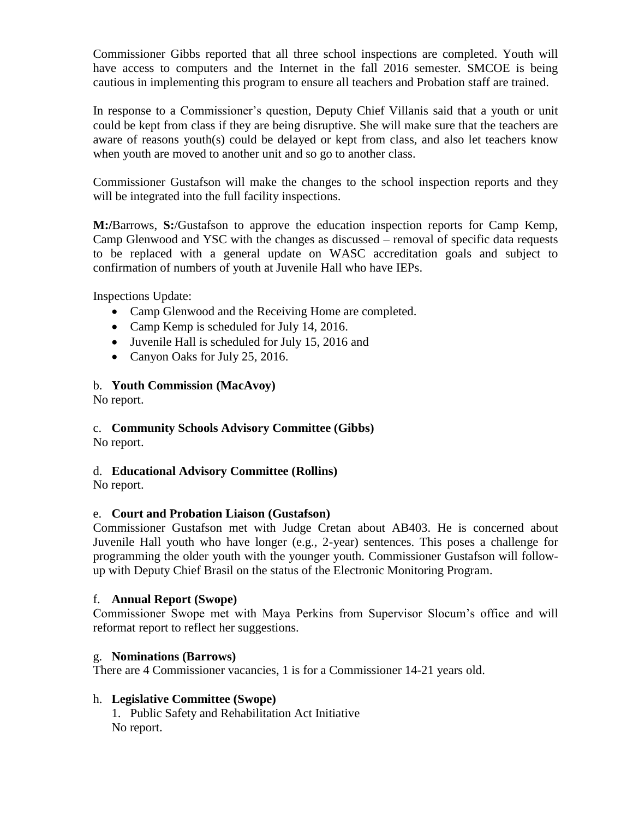Commissioner Gibbs reported that all three school inspections are completed. Youth will have access to computers and the Internet in the fall 2016 semester. SMCOE is being cautious in implementing this program to ensure all teachers and Probation staff are trained.

In response to a Commissioner's question, Deputy Chief Villanis said that a youth or unit could be kept from class if they are being disruptive. She will make sure that the teachers are aware of reasons youth(s) could be delayed or kept from class, and also let teachers know when youth are moved to another unit and so go to another class.

Commissioner Gustafson will make the changes to the school inspection reports and they will be integrated into the full facility inspections.

**M:/**Barrows, **S:**/Gustafson to approve the education inspection reports for Camp Kemp, Camp Glenwood and YSC with the changes as discussed – removal of specific data requests to be replaced with a general update on WASC accreditation goals and subject to confirmation of numbers of youth at Juvenile Hall who have IEPs.

Inspections Update:

- Camp Glenwood and the Receiving Home are completed.
- Camp Kemp is scheduled for July 14, 2016.
- Juvenile Hall is scheduled for July 15, 2016 and
- Canyon Oaks for July 25, 2016.

## b. **Youth Commission (MacAvoy)**

No report.

# c. **Community Schools Advisory Committee (Gibbs)**

No report.

## d. **Educational Advisory Committee (Rollins)**

No report.

## e. **Court and Probation Liaison (Gustafson)**

Commissioner Gustafson met with Judge Cretan about AB403. He is concerned about Juvenile Hall youth who have longer (e.g., 2-year) sentences. This poses a challenge for programming the older youth with the younger youth. Commissioner Gustafson will followup with Deputy Chief Brasil on the status of the Electronic Monitoring Program.

## f. **Annual Report (Swope)**

Commissioner Swope met with Maya Perkins from Supervisor Slocum's office and will reformat report to reflect her suggestions.

#### g. **Nominations (Barrows)**

There are 4 Commissioner vacancies, 1 is for a Commissioner 14-21 years old.

## h. **Legislative Committee (Swope)**

1. Public Safety and Rehabilitation Act Initiative No report.